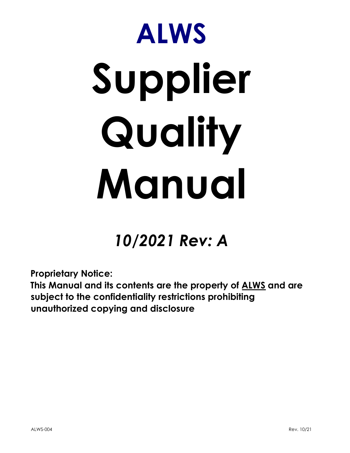# ALWS Supplier Quality Manual

# 10/2021 Rev: A

Proprietary Notice:

This Manual and its contents are the property of ALWS and are subject to the confidentiality restrictions prohibiting unauthorized copying and disclosure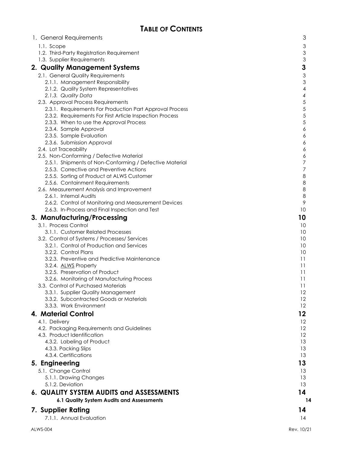| 1. General Requirements                                                                             | 3               |
|-----------------------------------------------------------------------------------------------------|-----------------|
| 1.1. Scope                                                                                          | 3               |
| 1.2. Third-Party Registration Requirement                                                           | 3               |
| 1.3. Supplier Requirements                                                                          | 3               |
| 2. Quality Management Systems                                                                       | 3               |
| 2.1. General Quality Requirements                                                                   | 3               |
| 2.1.1. Management Responsibility                                                                    | 3               |
| 2.1.2. Quality System Representatives                                                               | 4               |
| 2.1.3. Quality Data                                                                                 | 4               |
| 2.3. Approval Process Requirements                                                                  | 5               |
| 2.3.1. Requirements For Production Part Approval Process                                            | 5               |
| 2.3.2. Requirements For First Article Inspection Process                                            | 5               |
| 2.3.3. When to use the Approval Process                                                             | 5               |
| 2.3.4. Sample Approval                                                                              | 6               |
| 2.3.5. Sample Evaluation                                                                            | 6               |
| 2.3.6. Submission Approval                                                                          | 6               |
| 2.4. Lot Traceability                                                                               | 6               |
| 2.5. Non-Conforming / Defective Material<br>2.5.1. Shipments of Non-Conforming / Defective Material | 6<br>7          |
| 2.5.3. Corrective and Preventive Actions                                                            | 7               |
| 2.5.5. Sorting of Product at ALWS Customer                                                          | 8               |
| 2.5.6. Containment Requirements                                                                     | 8               |
| 2.6. Measurement Analysis and Improvement                                                           | 8               |
| 2.6.1. Internal Audits                                                                              | 8               |
| 2.6.2. Control of Monitoring and Measurement Devices                                                | 9               |
| 2.6.3. In-Process and Final Inspection and Test                                                     | 10              |
| 3. Manufacturing/Processing                                                                         | 10              |
| 3.1. Process Control                                                                                | 10              |
| 3.1.1. Customer Related Processes                                                                   | 10              |
| 3.2. Control of Systems / Processes/ Services                                                       | 10              |
| 3.2.1. Control of Production and Services                                                           | 10              |
| 3.2.2. Control Plans                                                                                | 10              |
| 3.2.3. Preventive and Predictive Maintenance                                                        | 11              |
| 3.2.4. ALWS Property                                                                                | 11              |
| 3.2.5. Preservation of Product                                                                      | 11              |
| 3.2.6. Monitoring of Manufacturing Process                                                          | $\overline{11}$ |
| 3.3. Control of Purchased Materials                                                                 | 11<br>12        |
| 3.3.1. Supplier Quality Management<br>3.3.2. Subcontracted Goods or Materials                       | 12              |
| 3.3.3. Work Environment                                                                             | 12              |
| 4. Material Control                                                                                 | 12              |
|                                                                                                     | 12              |
| 4.1. Delivery<br>4.2. Packaging Requirements and Guidelines                                         | 12              |
| 4.3. Product Identification                                                                         | 12              |
| 4.3.2. Labeling of Product                                                                          | 13              |
| 4.3.3. Packing Slips                                                                                | 13              |
| 4.3.4. Certifications                                                                               | 13              |
| 5. Engineering                                                                                      | 13              |
| 5.1. Change Control                                                                                 | 13              |
| 5.1.1. Drawing Changes                                                                              | 13              |
| 5.1.2. Deviation                                                                                    | 13              |
| 6. QUALITY SYSTEM AUDITS and ASSESSMENTS                                                            | 14              |
| 6.1 Quality System Audits and Assessments                                                           | 14              |
|                                                                                                     |                 |
| 7. Supplier Rating                                                                                  | 14              |
| 7.1.1. Annual Evaluation                                                                            | 14              |
|                                                                                                     |                 |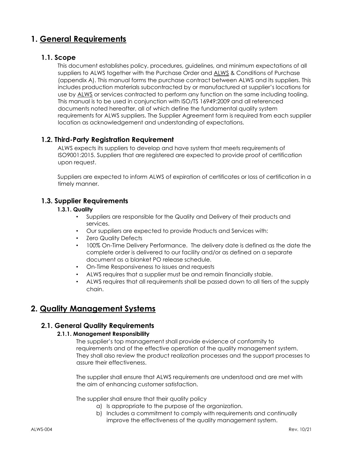# 1. General Requirements

#### 1.1. Scope

This document establishes policy, procedures, guidelines, and minimum expectations of all suppliers to ALWS together with the Purchase Order and ALWS & Conditions of Purchase (appendix A). This manual forms the purchase contract between ALWS and its suppliers. This includes production materials subcontracted by or manufactured at supplier's locations for use by ALWS or services contracted to perform any function on the same including tooling. This manual is to be used in conjunction with ISO/TS 16949:2009 and all referenced documents noted hereafter, all of which define the fundamental quality system requirements for ALWS suppliers. The Supplier Agreement form is required from each supplier location as acknowledgement and understanding of expectations.

#### 1.2. Third-Party Registration Requirement

ALWS expects its suppliers to develop and have system that meets requirements of ISO9001:2015. Suppliers that are registered are expected to provide proof of certification upon request.

Suppliers are expected to inform ALWS of expiration of certificates or loss of certification in a timely manner.

#### 1.3. Supplier Requirements

#### 1.3.1. Quality

- Suppliers are responsible for the Quality and Delivery of their products and services.
- Our suppliers are expected to provide Products and Services with:
- **Zero Quality Defects**
- 100% On-Time Delivery Performance. The delivery date is defined as the date the complete order is delivered to our facility and/or as defined on a separate document as a blanket PO release schedule.
- On-Time Responsiveness to issues and requests
- ALWS requires that a supplier must be and remain financially stable.
- ALWS requires that all requirements shall be passed down to all tiers of the supply chain.

# 2. Quality Management Systems

#### 2.1. General Quality Requirements

#### 2.1.1. Management Responsibility

The supplier's top management shall provide evidence of conformity to requirements and of the effective operation of the quality management system. They shall also review the product realization processes and the support processes to assure their effectiveness.

The supplier shall ensure that ALWS requirements are understood and are met with the aim of enhancing customer satisfaction.

The supplier shall ensure that their quality policy

- a) Is appropriate to the purpose of the organization.
- b) Includes a commitment to comply with requirements and continually improve the effectiveness of the quality management system.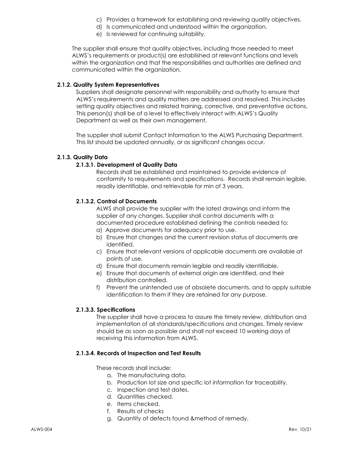- c) Provides a framework for establishing and reviewing quality objectives.
- d) Is communicated and understood within the organization.
- e) Is reviewed for continuing suitability.

The supplier shall ensure that quality objectives, including those needed to meet ALWS's requirements or product(s) are established at relevant functions and levels within the organization and that the responsibilities and authorities are defined and communicated within the organization.

#### 2.1.2. Quality System Representatives

Suppliers shall designate personnel with responsibility and authority to ensure that ALWS's requirements and quality matters are addressed and resolved. This includes setting quality objectives and related training, corrective, and preventative actions. This person(s) shall be of a level to effectively interact with ALWS's Quality Department as well as their own management.

The supplier shall submit Contact Information to the ALWS Purchasing Department. This list should be updated annually, or as significant changes occur.

#### 2.1.3. Quality Data

#### 2.1.3.1. Development of Quality Data

Records shall be established and maintained to provide evidence of conformity to requirements and specifications. Records shall remain legible, readily identifiable, and retrievable for min of 3 years.

#### 2.1.3.2. Control of Documents

ALWS shall provide the supplier with the latest drawings and inform the supplier of any changes. Supplier shall control documents with a documented procedure established defining the controls needed to:

- a) Approve documents for adequacy prior to use.
- b) Ensure that changes and the current revision status of documents are identified.
- c) Ensure that relevant versions of applicable documents are available at points of use.
- d) Ensure that documents remain legible and readily identifiable.
- e) Ensure that documents of external origin are identified, and their distribution controlled.
- f) Prevent the unintended use of obsolete documents, and to apply suitable identification to them if they are retained for any purpose.

#### 2.1.3.3. Specifications

The supplier shall have a process to assure the timely review, distribution and implementation of all standards/specifications and changes. Timely review should be as soon as possible and shall not exceed 10 working days of receiving this information from ALWS.

#### 2.1.3.4. Records of Inspection and Test Results

These records shall include:

- a. The manufacturing data.
- b. Production lot size and specific lot information for traceability.
- c. Inspection and test dates.
- d. Quantities checked.
- e. Items checked.
- f. Results of checks
- g. Quantity of defects found &method of remedy.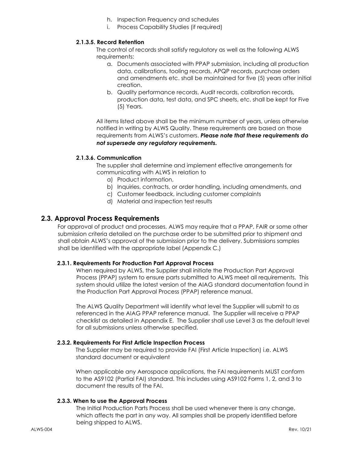- h. Inspection Frequency and schedules
- i. Process Capability Studies (if required)

#### 2.1.3.5. Record Retention

The control of records shall satisfy regulatory as well as the following ALWS requirements:

- a. Documents associated with PPAP submission, including all production data, calibrations, tooling records, APQP records, purchase orders and amendments etc. shall be maintained for five (5) years after initial creation.
- b. Quality performance records, Audit records, calibration records, production data, test data, and SPC sheets, etc. shall be kept for Five (5) Years.

All items listed above shall be the minimum number of years, unless otherwise notified in writing by ALWS Quality. These requirements are based on those requirements from ALWS's customers. Please note that these requirements do not supersede any regulatory requirements.

#### 2.1.3.6. Communication

The supplier shall determine and implement effective arrangements for communicating with ALWS in relation to

- a) Product information,
- b) Inquiries, contracts, or order handling, including amendments, and
- c) Customer feedback, including customer complaints
- d) Material and inspection test results

#### 2.3. Approval Process Requirements

For approval of product and processes, ALWS may require that a PPAP, FAIR or some other submission criteria detailed on the purchase order to be submitted prior to shipment and shall obtain ALWS's approval of the submission prior to the delivery. Submissions samples shall be identified with the appropriate label (Appendix C.)

#### 2.3.1. Requirements For Production Part Approval Process

When required by ALWS, the Supplier shall initiate the Production Part Approval Process (PPAP) system to ensure parts submitted to ALWS meet all requirements. This system should utilize the latest version of the AIAG standard documentation found in the Production Part Approval Process (PPAP) reference manual.

The ALWS Quality Department will identify what level the Supplier will submit to as referenced in the AIAG PPAP reference manual. The Supplier will receive a PPAP checklist as detailed in Appendix E. The Supplier shall use Level 3 as the default level for all submissions unless otherwise specified.

#### 2.3.2. Requirements For First Article Inspection Process

The Supplier may be required to provide FAI (First Article Inspection) i.e. ALWS standard document or equivalent

When applicable any Aerospace applications, the FAI requirements MUST conform to the AS9102 (Partial FAI) standard. This includes using AS9102 Forms 1, 2, and 3 to document the results of the FAI.

#### 2.3.3. When to use the Approval Process

The Initial Production Parts Process shall be used whenever there is any change, which affects the part in any way. All samples shall be properly identified before being shipped to ALWS.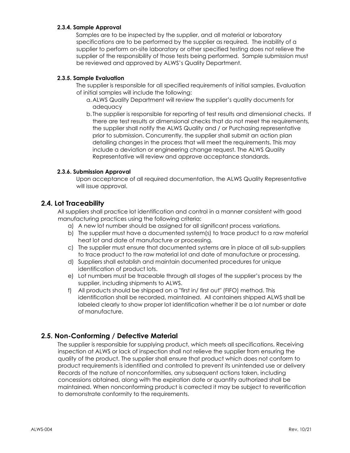#### 2.3.4. Sample Approval

Samples are to be inspected by the supplier, and all material or laboratory specifications are to be performed by the supplier as required. The inability of a supplier to perform on-site laboratory or other specified testing does not relieve the supplier of the responsibility of those tests being performed. Sample submission must be reviewed and approved by ALWS's Quality Department.

#### 2.3.5. Sample Evaluation

The supplier is responsible for all specified requirements of initial samples. Evaluation of initial samples will include the following:

- a.ALWS Quality Department will review the supplier's quality documents for adequacy
- b. The supplier is responsible for reporting of test results and dimensional checks. If there are test results or dimensional checks that do not meet the requirements, the supplier shall notify the ALWS Quality and / or Purchasing representative prior to submission. Concurrently, the supplier shall submit an action plan detailing changes in the process that will meet the requirements. This may include a deviation or engineering change request. The ALWS Quality Representative will review and approve acceptance standards.

#### 2.3.6. Submission Approval

Upon acceptance of all required documentation, the ALWS Quality Representative will issue approval.

#### 2.4. Lot Traceability

All suppliers shall practice lot identification and control in a manner consistent with good manufacturing practices using the following criteria:

- a) A new lot number should be assigned for all significant process variations.
- b) The supplier must have a documented system(s) to trace product to a raw material heat lot and date of manufacture or processing.
- c) The supplier must ensure that documented systems are in place at all sub-suppliers to trace product to the raw material lot and date of manufacture or processing.
- d) Suppliers shall establish and maintain documented procedures for unique identification of product lots.
- e) Lot numbers must be traceable through all stages of the supplier's process by the supplier, including shipments to ALWS.
- f) All products should be shipped on a "first in/ first out" (FIFO) method. This identification shall be recorded, maintained. All containers shipped ALWS shall be labeled clearly to show proper lot identification whether it be a lot number or date of manufacture.

#### 2.5. Non-Conforming / Defective Material

The supplier is responsible for supplying product, which meets all specifications. Receiving inspection at ALWS or lack of inspection shall not relieve the supplier from ensuring the quality of the product. The supplier shall ensure that product which does not conform to product requirements is identified and controlled to prevent its unintended use or delivery Records of the nature of nonconformities, any subsequent actions taken, including concessions obtained, along with the expiration date or quantity authorized shall be maintained. When nonconforming product is corrected it may be subject to reverification to demonstrate conformity to the requirements.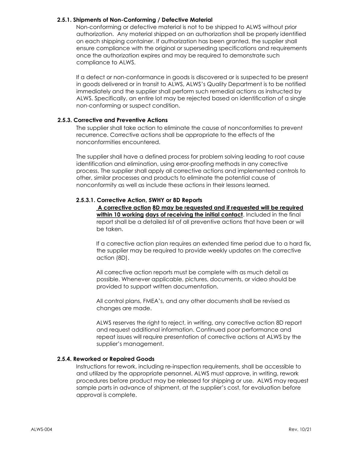#### 2.5.1. Shipments of Non-Conforming / Defective Material

Non-conforming or defective material is not to be shipped to ALWS without prior authorization. Any material shipped on an authorization shall be properly identified on each shipping container. If authorization has been granted, the supplier shall ensure compliance with the original or superseding specifications and requirements once the authorization expires and may be required to demonstrate such compliance to ALWS.

If a defect or non-conformance in goods is discovered or is suspected to be present in goods delivered or in transit to ALWS, ALWS's Quality Department is to be notified immediately and the supplier shall perform such remedial actions as instructed by ALWS. Specifically, an entire lot may be rejected based on identification of a single non-conforming or suspect condition.

#### 2.5.3. Corrective and Preventive Actions

The supplier shall take action to eliminate the cause of nonconformities to prevent recurrence. Corrective actions shall be appropriate to the effects of the nonconformities encountered.

The supplier shall have a defined process for problem solving leading to root cause identification and elimination, using error-proofing methods in any corrective process. The supplier shall apply all corrective actions and implemented controls to other, similar processes and products to eliminate the potential cause of nonconformity as well as include these actions in their lessons learned.

#### 2.5.3.1. Corrective Action, 5WHY or 8D Reports

 A corrective action 8D may be requested and if requested will be required within 10 working days of receiving the initial contact. Included in the final report shall be a detailed list of all preventive actions that have been or will be taken.

If a corrective action plan requires an extended time period due to a hard fix, the supplier may be required to provide weekly updates on the corrective action (8D).

All corrective action reports must be complete with as much detail as possible. Whenever applicable, pictures, documents, or video should be provided to support written documentation.

All control plans, FMEA's, and any other documents shall be revised as changes are made.

ALWS reserves the right to reject, in writing, any corrective action 8D report and request additional information. Continued poor performance and repeat issues will require presentation of corrective actions at ALWS by the supplier's management.

#### 2.5.4. Reworked or Repaired Goods

Instructions for rework, including re-inspection requirements, shall be accessible to and utilized by the appropriate personnel. ALWS must approve, in writing, rework procedures before product may be released for shipping or use. ALWS may request sample parts in advance of shipment, at the supplier's cost, for evaluation before approval is complete.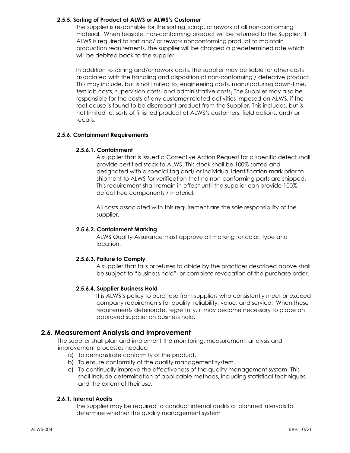#### 2.5.5. Sorting of Product at ALWS or ALWS's Customer

The supplier is responsible for the sorting, scrap, or rework of all non-conforming material. When feasible, non-conforming product will be returned to the Supplier. If ALWS is required to sort and/ or rework nonconforming product to maintain production requirements, the supplier will be charged a predetermined rate which will be debited back to the supplier.

In addition to sorting and/or rework costs, the supplier may be liable for other costs associated with the handling and disposition of non-conforming / defective product. This may include, but is not limited to, engineering costs, manufacturing down-time, test lab costs, supervision costs, and administrative costs. The Supplier may also be responsible for the costs of any customer related activities imposed on ALWS, if the root cause is found to be discrepant product from the Supplier. This includes, but is not limited to, sorts of finished product at ALWS's customers, field actions, and/ or recalls.

#### 2.5.6. Containment Requirements

#### 2.5.6.1. Containment

A supplier that is issued a Corrective Action Request for a specific defect shall provide certified stock to ALWS. This stock shall be 100% sorted and designated with a special tag and/ or individual identification mark prior to shipment to ALWS for verification that no non-conforming parts are shipped. This requirement shall remain in effect until the supplier can provide 100% defect free components / material.

All costs associated with this requirement are the sole responsibility of the supplier.

#### 2.5.6.2. Containment Marking

ALWS Quality Assurance must approve all marking for color, type and location.

#### 2.5.6.3. Failure to Comply

A supplier that fails or refuses to abide by the practices described above shall be subject to "business hold", or complete revocation of the purchase order.

#### 2.5.6.4. Supplier Business Hold

It is ALWS's policy to purchase from suppliers who consistently meet or exceed company requirements for quality, reliability, value, and service. When these requirements deteriorate, regretfully, it may become necessary to place an approved supplier on business hold.

#### 2.6. Measurement Analysis and Improvement

The supplier shall plan and implement the monitoring, measurement, analysis and improvement processes needed

- a) To demonstrate conformity of the product.
- b) To ensure conformity of the quality management system.
- c) To continually improve the effectiveness of the quality management system. This shall include determination of applicable methods, including statistical techniques, and the extent of their use.

#### 2.6.1. Internal Audits

The supplier may be required to conduct internal audits at planned intervals to determine whether the quality management system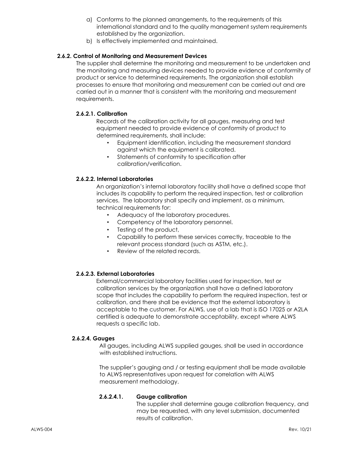- a) Conforms to the planned arrangements, to the requirements of this international standard and to the quality management system requirements established by the organization.
- b) Is effectively implemented and maintained.

#### 2.6.2. Control of Monitoring and Measurement Devices

The supplier shall determine the monitoring and measurement to be undertaken and the monitoring and measuring devices needed to provide evidence of conformity of product or service to determined requirements. The organization shall establish processes to ensure that monitoring and measurement can be carried out and are carried out in a manner that is consistent with the monitoring and measurement requirements.

#### 2.6.2.1. Calibration

Records of the calibration activity for all gauges, measuring and test equipment needed to provide evidence of conformity of product to determined requirements, shall include:

- Equipment identification, including the measurement standard against which the equipment is calibrated.
- Statements of conformity to specification after calibration/verification.

#### 2.6.2.2. Internal Laboratories

An organization's internal laboratory facility shall have a defined scope that includes its capability to perform the required inspection, test or calibration services. The laboratory shall specify and implement, as a minimum, technical requirements for:

- Adequacy of the laboratory procedures.
- Competency of the laboratory personnel.
- Testing of the product,
- Capability to perform these services correctly, traceable to the relevant process standard (such as ASTM, etc.).
- Review of the related records.

#### 2.6.2.3. External Laboratories

External/commercial laboratory facilities used for inspection, test or calibration services by the organization shall have a defined laboratory scope that includes the capability to perform the required inspection, test or calibration, and there shall be evidence that the external laboratory is acceptable to the customer. For ALWS, use of a lab that is ISO 17025 or A2LA certified is adequate to demonstrate acceptability, except where ALWS requests a specific lab.

#### 2.6.2.4. Gauges

All gauges, including ALWS supplied gauges, shall be used in accordance with established instructions.

The supplier's gauging and / or testing equipment shall be made available to ALWS representatives upon request for correlation with ALWS measurement methodology.

#### 2.6.2.4.1. Gauge calibration

The supplier shall determine gauge calibration frequency, and may be requested, with any level submission, documented results of calibration.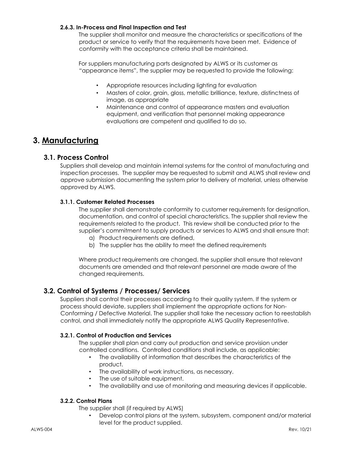#### 2.6.3. In-Process and Final Inspection and Test

The supplier shall monitor and measure the characteristics or specifications of the product or service to verify that the requirements have been met. Evidence of conformity with the acceptance criteria shall be maintained.

For suppliers manufacturing parts designated by ALWS or its customer as "appearance items", the supplier may be requested to provide the following:

- Appropriate resources including lighting for evaluation
- Masters of color, grain, gloss, metallic brilliance, texture, distinctness of image, as appropriate
- Maintenance and control of appearance masters and evaluation equipment, and verification that personnel making appearance evaluations are competent and qualified to do so.

# 3. Manufacturing

#### 3.1. Process Control

Suppliers shall develop and maintain internal systems for the control of manufacturing and inspection processes. The supplier may be requested to submit and ALWS shall review and approve submission documenting the system prior to delivery of material, unless otherwise approved by ALWS.

#### 3.1.1. Customer Related Processes

The supplier shall demonstrate conformity to customer requirements for designation, documentation, and control of special characteristics. The supplier shall review the requirements related to the product. This review shall be conducted prior to the supplier's commitment to supply products or services to ALWS and shall ensure that:

- a) Product requirements are defined,
- b) The supplier has the ability to meet the defined requirements

Where product requirements are changed, the supplier shall ensure that relevant documents are amended and that relevant personnel are made aware of the changed requirements.

#### 3.2. Control of Systems / Processes/ Services

Suppliers shall control their processes according to their quality system. If the system or process should deviate, suppliers shall implement the appropriate actions for Non-Conforming / Defective Material. The supplier shall take the necessary action to reestablish control, and shall immediately notify the appropriate ALWS Quality Representative.

#### 3.2.1. Control of Production and Services

The supplier shall plan and carry out production and service provision under controlled conditions. Controlled conditions shall include, as applicable:

- The availability of information that describes the characteristics of the product.
- The availability of work instructions, as necessary.
- The use of suitable equipment.
- The availability and use of monitoring and measuring devices if applicable.

#### 3.2.2. Control Plans

The supplier shall (if required by ALWS)

• Develop control plans at the system, subsystem, component and/or material level for the product supplied.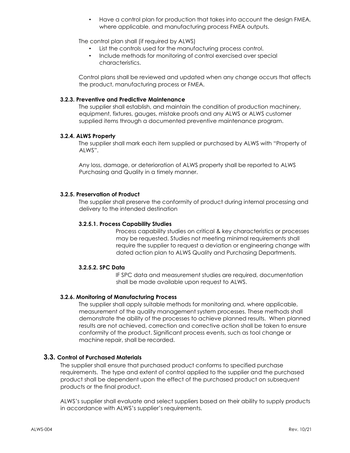• Have a control plan for production that takes into account the design FMEA, where applicable, and manufacturing process FMEA outputs.

The control plan shall (if required by ALWS)

- List the controls used for the manufacturing process control.
- Include methods for monitoring of control exercised over special characteristics.

Control plans shall be reviewed and updated when any change occurs that affects the product, manufacturing process or FMEA.

#### 3.2.3. Preventive and Predictive Maintenance

The supplier shall establish, and maintain the condition of production machinery, equipment, fixtures, gauges, mistake proofs and any ALWS or ALWS customer supplied items through a documented preventive maintenance program.

#### 3.2.4. ALWS Property

The supplier shall mark each item supplied or purchased by ALWS with "Property of ALWS".

Any loss, damage, or deterioration of ALWS property shall be reported to ALWS Purchasing and Quality in a timely manner.

#### 3.2.5. Preservation of Product

The supplier shall preserve the conformity of product during internal processing and delivery to the intended destination

#### 3.2.5.1. Process Capability Studies

Process capability studies on critical & key characteristics or processes may be requested. Studies not meeting minimal requirements shall require the supplier to request a deviation or engineering change with dated action plan to ALWS Quality and Purchasing Departments.

#### 3.2.5.2. SPC Data

IF SPC data and measurement studies are required, documentation shall be made available upon request to ALWS.

#### 3.2.6. Monitoring of Manufacturing Process

The supplier shall apply suitable methods for monitoring and, where applicable, measurement of the quality management system processes. These methods shall demonstrate the ability of the processes to achieve planned results. When planned results are not achieved, correction and corrective action shall be taken to ensure conformity of the product. Significant process events, such as tool change or machine repair, shall be recorded.

#### 3.3. Control of Purchased Materials

The supplier shall ensure that purchased product conforms to specified purchase requirements. The type and extent of control applied to the supplier and the purchased product shall be dependent upon the effect of the purchased product on subsequent products or the final product.

ALWS's supplier shall evaluate and select suppliers based on their ability to supply products in accordance with ALWS's supplier's requirements.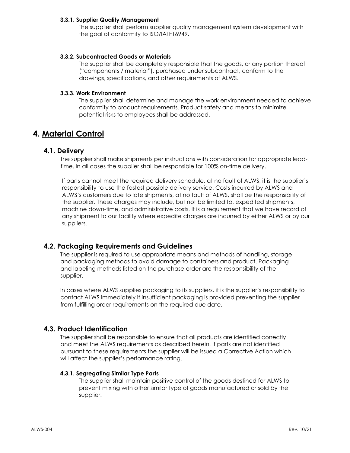#### 3.3.1. Supplier Quality Management

The supplier shall perform supplier quality management system development with the goal of conformity to ISO/IATF16949.

#### 3.3.2. Subcontracted Goods or Materials

The supplier shall be completely responsible that the goods, or any portion thereof ("components / material"), purchased under subcontract, conform to the drawings, specifications, and other requirements of ALWS.

#### 3.3.3. Work Environment

The supplier shall determine and manage the work environment needed to achieve conformity to product requirements. Product safety and means to minimize potential risks to employees shall be addressed.

# 4. Material Control

#### 4.1. Delivery

The supplier shall make shipments per instructions with consideration for appropriate leadtime. In all cases the supplier shall be responsible for 100% on-time delivery.

If parts cannot meet the required delivery schedule, at no fault of ALWS, it is the supplier's responsibility to use the fastest possible delivery service. Costs incurred by ALWS and ALWS's customers due to late shipments, at no fault of ALWS, shall be the responsibility of the supplier. These charges may include, but not be limited to, expedited shipments, machine down-time, and administrative costs. It is a requirement that we have record of any shipment to our facility where expedite charges are incurred by either ALWS or by our suppliers.

#### 4.2. Packaging Requirements and Guidelines

The supplier is required to use appropriate means and methods of handling, storage and packaging methods to avoid damage to containers and product. Packaging and labeling methods listed on the purchase order are the responsibility of the supplier.

In cases where ALWS supplies packaging to its suppliers, it is the supplier's responsibility to contact ALWS immediately if insufficient packaging is provided preventing the supplier from fulfilling order requirements on the required due date.

#### 4.3. Product Identification

The supplier shall be responsible to ensure that all products are identified correctly and meet the ALWS requirements as described herein. If parts are not identified pursuant to these requirements the supplier will be issued a Corrective Action which will affect the supplier's performance rating.

#### 4.3.1. Segregating Similar Type Parts

The supplier shall maintain positive control of the goods destined for ALWS to prevent mixing with other similar type of goods manufactured or sold by the supplier.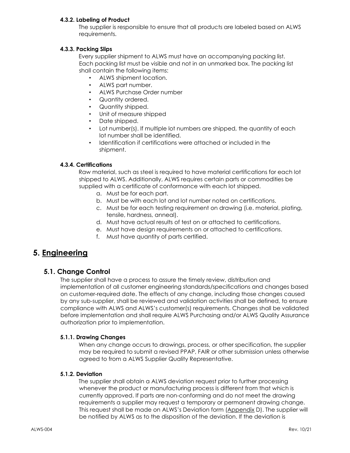#### 4.3.2. Labeling of Product

The supplier is responsible to ensure that all products are labeled based on ALWS requirements.

#### 4.3.3. Packing Slips

Every supplier shipment to ALWS must have an accompanying packing list. Each packing list must be visible and not in an unmarked box. The packing list shall contain the following items:

- ALWS shipment location.
- ALWS part number.
- ALWS Purchase Order number
- Quantity ordered.
- Quantity shipped.
- Unit of measure shipped
- Date shipped.
- Lot number(s). If multiple lot numbers are shipped, the quantity of each lot number shall be identified.
- Identification if certifications were attached or included in the shipment.

#### 4.3.4. Certifications

Raw material, such as steel is required to have material certifications for each lot shipped to ALWS. Additionally, ALWS requires certain parts or commodities be supplied with a certificate of conformance with each lot shipped.

- a. Must be for each part.
- b. Must be with each lot and lot number noted on certifications.
- c. Must be for each testing requirement on drawing (i.e. material, plating, tensile, hardness, anneal).
- d. Must have actual results of test on or attached to certifications.
- e. Must have design requirements on or attached to certifications.
- f. Must have quantity of parts certified.

# 5. Engineering

#### 5.1. Change Control

The supplier shall have a process to assure the timely review, distribution and implementation of all customer engineering standards/specifications and changes based on customer-required date. The effects of any change, including those changes caused by any sub-supplier, shall be reviewed and validation activities shall be defined, to ensure compliance with ALWS and ALWS's customer(s) requirements. Changes shall be validated before implementation and shall require ALWS Purchasing and/or ALWS Quality Assurance authorization prior to implementation.

#### 5.1.1. Drawing Changes

When any change occurs to drawings, process, or other specification, the supplier may be required to submit a revised PPAP, FAIR or other submission unless otherwise agreed to from a ALWS Supplier Quality Representative.

#### 5.1.2. Deviation

The supplier shall obtain a ALWS deviation request prior to further processing whenever the product or manufacturing process is different from that which is currently approved. If parts are non-conforming and do not meet the drawing requirements a supplier may request a temporary or permanent drawing change. This request shall be made on ALWS's Deviation form (Appendix D). The supplier will be notified by ALWS as to the disposition of the deviation. If the deviation is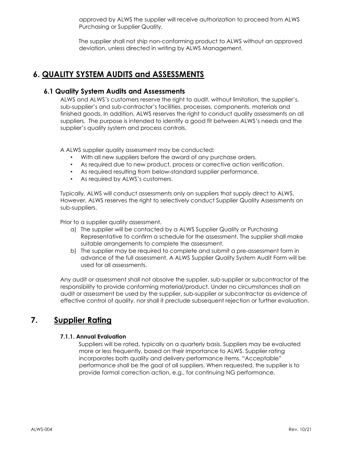approved by ALWS the supplier will receive authorization to proceed from ALWS Purchasing or Supplier Quality.

The supplier shall not ship non-conforming product to ALWS without an approved deviation, unless directed in writing by ALWS Management.

# 6. QUALITY SYSTEM AUDITS and ASSESSMENTS

#### 6.1 Quality System Audits and Assessments

ALWS and ALWS's customers reserve the right to audit, without limitation, the supplier's, sub-supplier's and sub-contractor's facilities, processes, components, materials and finished goods. In addition, ALWS reserves the right to conduct quality assessments on all suppliers. The purpose is intended to identify a good fit between ALWS's needs and the supplier's quality system and process controls.

A ALWS supplier quality assessment may be conducted:

- With all new suppliers before the award of any purchase orders.
- As required due to new product, process or corrective action verification.
- As required resulting from below-standard supplier performance.
- As required by ALWS's customers.

Typically, ALWS will conduct assessments only on suppliers that supply direct to ALWS. However, ALWS reserves the right to selectively conduct Supplier Quality Assessments on sub-suppliers.

Prior to a supplier quality assessment,

- a) The supplier will be contacted by a ALWS Supplier Quality or Purchasing Representative to confirm a schedule for the assessment. The supplier shall make suitable arrangements to complete the assessment.
- b) The supplier may be required to complete and submit a pre-assessment form in advance of the full assessment. A ALWS Supplier Quality System Audit Form will be used for all assessments.

Any audit or assessment shall not absolve the supplier, sub-supplier or subcontractor of the responsibility to provide conforming material/product. Under no circumstances shall an audit or assessment be used by the supplier, sub-supplier or subcontractor as evidence of effective control of quality, nor shall it preclude subsequent rejection or further evaluation.

# 7. Supplier Rating

#### 7.1.1. Annual Evaluation

Suppliers will be rated, typically on a quarterly basis. Suppliers may be evaluated more or less frequently, based on their importance to ALWS. Supplier rating incorporates both quality and delivery performance items. "Acceptable" performance shall be the goal of all suppliers. When requested, the supplier is to provide formal correction action, e.g., for continuing NG performance.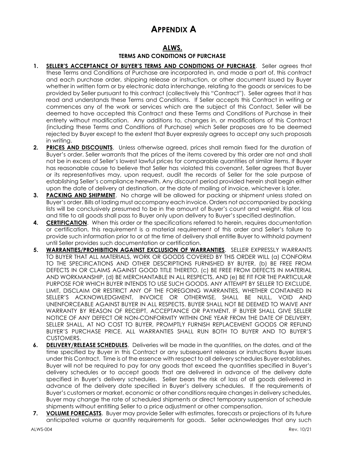# APPENDIX A

#### ALWS.

#### TERMS AND CONDITIONS OF PURCHASE

- 1. SELLER'S ACCEPTANCE OF BUYER'S TERMS AND CONDITIONS OF PURCHASE. Seller agrees that these Terms and Conditions of Purchase are incorporated in, and made a part of, this contract and each purchase order, shipping release or instruction, or other document issued by Buyer whether in written form or by electronic data interchange, relating to the goods or services to be provided by Seller pursuant to this contract (collectively this "Contract"). Seller agrees that it has read and understands these Terms and Conditions. If Seller accepts this Contract in writing or commences any of the work or services which are the subject of this Contact, Seller will be deemed to have accepted this Contract and these Terms and Conditions of Purchase in their entirety without modification. Any additions to, changes in, or modifications of this Contract (including these Terms and Conditions of Purchase) which Seller proposes are to be deemed rejected by Buyer except to the extent that Buyer expressly agrees to accept any such proposals in writing.
- 2. PRICES AND DISCOUNTS. Unless otherwise agreed, prices shall remain fixed for the duration of Buyer's order. Seller warrants that the prices of the items covered by this order are not and shall not be in excess of Seller's lowest lawful prices for comparable quantities of similar items. If Buyer has reasonable cause to believe that Seller has violated this covenant, Seller agrees that Buyer or its representatives may, upon request, audit the records of Seller for the sole purpose of establishing Seller's compliance herewith. Any discount period provided herein shall begin either upon the date of delivery at destination, or the date of mailing of invoice, whichever is later.
- 3. PACKING AND SHIPMENT. No charge will be allowed for packing or shipment unless stated on Buyer's order. Bills of lading must accompany each invoice. Orders not accompanied by packing lists will be conclusively presumed to be in the amount of Buyer's count and weight. Risk of loss and title to all goods shall pass to Buyer only upon delivery to Buyer's specified destination.
- 4. CERTIFICATION. When this order or the specifications referred to herein, requires documentation or certification, this requirement is a material requirement of this order and Seller's failure to provide such information prior to or at the time of delivery shall entitle Buyer to withhold payment until Seller provides such documentation or certification.
- 5. WARRANTIES/PROHIBITION AGAINST EXCLUSION OF WARRANTIES. SELLER EXPRESSLY WARRANTS TO BUYER THAT ALL MATERIALS, WORK OR GOODS COVERED BY THIS ORDER WILL (a) CONFORM TO THE SPECIFICATIONS AND OTHER DESCRIPTIONS FURNISHED BY BUYER, (b) BE FREE FROM DEFECTS IN OR CLAIMS AGAINST GOOD TITLE THERETO, (c) BE FREE FROM DEFECTS IN MATERIAL AND WORKMANSHIP, (d) BE MERCHANTABLE IN ALL RESPECTS, AND (e) BE FIT FOR THE PARTICULAR PURPOSE FOR WHICH BUYER INTENDS TO USE SUCH GOODS. ANY ATTEMPT BY SELLER TO EXCLUDE, LIMIT, DISCLAIM OR RESTRICT ANY OF THE FOREGOING WARRANTIES, WHETHER CONTAINED IN SELLER'S ACKNOWLEDGMENT, INVOICE OR OTHERWISE, SHALL BE NULL, VOID AND UNENFORCEABLE AGAINST BUYER IN ALL RESPECTS. BUYER SHALL NOT BE DEEMED TO WAIVE ANY WARRANTY BY REASON OF RECEIPT, ACCEPTANCE OR PAYMENT. IF BUYER SHALL GIVE SELLER NOTICE OF ANY DEFECT OR NON-CONFORMITY WITHIN ONE YEAR FROM THE DATE OF DELIVERY, SELLER SHALL, AT NO COST TO BUYER, PROMPTLY FURNISH REPLACEMENT GOODS OR REFUND BUYER'S PURCHASE PRICE. ALL WARRANTIES SHALL RUN BOTH TO BUYER AND TO BUYER'S CUSTOMERS.
- 6. DELIVERY/RELEASE SCHEDULES. Deliveries will be made in the quantities, on the dates, and at the time specified by Buyer in this Contract or any subsequent releases or instructions Buyer issues under this Contract. Time is of the essence with respect to all delivery schedules Buyer establishes. Buyer will not be required to pay for any goods that exceed the quantities specified in Buyer's delivery schedules or to accept goods that are delivered in advance of the delivery date specified in Buyer's delivery schedules. Seller bears the risk of loss of all goods delivered in advance of the delivery date specified in Buyer's delivery schedules. If the requirements of Buyer's customers or market, economic or other conditions require changes in delivery schedules, Buyer may change the rate of scheduled shipments or direct temporary suspension of schedule shipments without entitling Seller to a price adjustment or other compensation.
- 7. VOLUME FORECASTS. Buyer may provide Seller with estimates, forecasts or projections of its future anticipated volume or quantity requirements for goods. Seller acknowledges that any such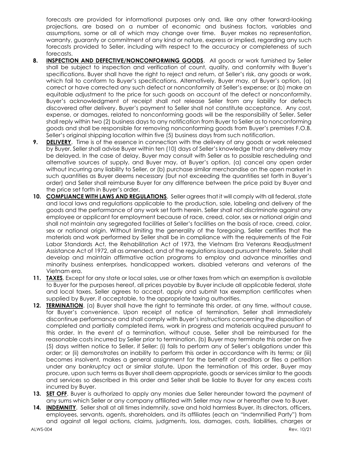forecasts are provided for informational purposes only and, like any other forward-looking projections, are based on a number of economic and business factors, variables and assumptions, some or all of which may change over time. Buyer makes no representation, warranty, guaranty or commitment of any kind or nature, express or implied, regarding any such forecasts provided to Seller, including with respect to the accuracy or completeness of such forecasts.

- 8. INSPECTION AND DEFECTIVE/NONCONFORMING GOODS. All goods or work furnished by Seller shall be subject to inspection and verification of count, quality, and conformity with Buyer's specifications. Buyer shall have the right to reject and return, at Seller's risk, any goods or work, which fail to conform to Buyer's specifications. Alternatively, Buyer may, at Buyer's option, (a) correct or have corrected any such defect or nonconformity at Seller's expense; or (b) make an equitable adjustment to the price for such goods on account of the defect or nonconformity. Buyer's acknowledgment of receipt shall not release Seller from any liability for defects discovered after delivery. Buyer's payment to Seller shall not constitute acceptance. Any cost, expense, or damages, related to nonconforming goods will be the responsibility of Seller. Seller shall reply within two (2) business days to any notification from Buyer to Seller as to nonconforming goods and shall be responsible for removing nonconforming goods from Buyer's premises F.O.B. Seller's original shipping location within five (5) business days from such notification.
- **9.** DELIVERY. Time is of the essence in connection with the delivery of any goods or work released by Buyer. Seller shall advise Buyer within ten (10) days of Seller's knowledge that any delivery may be delayed. In the case of delay, Buyer may consult with Seller as to possible rescheduling and alternative sources of supply, and Buyer may, at Buyer's option, (a) cancel any open order without incurring any liability to Seller, or (b) purchase similar merchandise on the open market in such quantities as Buyer deems necessary (but not exceeding the quantities set forth in Buyer's order) and Seller shall reimburse Buyer for any difference between the price paid by Buyer and the price set forth in Buyer's order.
- 10. COMPLIANCE WITH LAWS AND REGULATIONS. Seller agrees that it will comply with all federal, state and local laws and regulations applicable to the production, sale, labeling and delivery of the goods and the performance of any work set forth herein. Seller shall not discriminate against any employee or applicant for employment because of race, creed, color, sex or national origin and shall not maintain any segregated facilities at Seller's facilities on the basis of race, creed, color, sex or national origin. Without limiting the generality of the foregoing, Seller certifies that the materials and work performed by Seller shall be in compliance with the requirements of the Fair Labor Standards Act, the Rehabilitation Act of 1973, the Vietnam Era Veterans Readjustment Assistance Act of 1972, all as amended, and of the regulations issued pursuant thereto. Seller shall develop and maintain affirmative action programs to employ and advance minorities and minority business enterprises, handicapped workers, disabled veterans and veterans of the Vietnam era.
- 11. **TAXES**. Except for any state or local sales, use or other taxes from which an exemption is available to Buyer for the purposes hereof, all prices payable by Buyer include all applicable federal, state and local taxes. Seller agrees to accept, apply and submit tax exemption certificates when supplied by Buyer, if acceptable, to the appropriate taxing authorities.
- 12. TERMINATION. (a) Buyer shall have the right to terminate this order, at any time, without cause, for Buyer's convenience. Upon receipt of notice of termination, Seller shall immediately discontinue performance and shall comply with Buyer's instructions concerning the disposition of completed and partially completed items, work in progress and materials acquired pursuant to this order. In the event of a termination, without cause, Seller shall be reimbursed for the reasonable costs incurred by Seller prior to termination. (b) Buyer may terminate this order on five (5) days written notice to Seller, if Seller: (i) fails to perform any of Seller's obligations under this order; or (ii) demonstrates an inability to perform this order in accordance with its terms; or (iii) becomes insolvent, makes a general assignment for the benefit of creditors or files a petition under any bankruptcy act or similar statute. Upon the termination of this order, Buyer may procure, upon such terms as Buyer shall deem appropriate, goods or services similar to the goods and services so described in this order and Seller shall be liable to Buyer for any excess costs incurred by Buyer.
- 13. SET OFF. Buyer is authorized to apply any monies due Seller hereunder toward the payment of any sums which Seller or any company affiliated with Seller may now or hereafter owe to Buyer.
- 14. INDEMNITY. Seller shall at all times indemnify, save and hold harmless Buyer, its directors, officers, employees, servants, agents, shareholders, and its affiliates (each an "Indemnified Party") from and against all legal actions, claims, judgments, loss, damages, costs, liabilities, charges or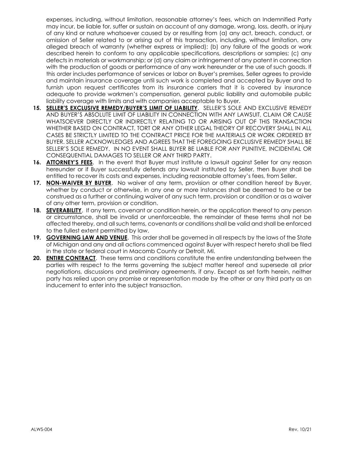expenses, including, without limitation, reasonable attorney's fees, which an Indemnified Party may incur, be liable for, suffer or sustain on account of any damage, wrong, loss, death, or injury of any kind or nature whatsoever caused by or resulting from (a) any act, breach, conduct, or omission of Seller related to or arising out of this transaction, including, without limitation, any alleged breach of warranty (whether express or implied); (b) any failure of the goods or work described herein to conform to any applicable specifications, descriptions or samples; (c) any defects in materials or workmanship; or (d) any claim or infringement of any patent in connection with the production of goods or performance of any work hereunder or the use of such goods. If this order includes performance of services or labor on Buyer's premises, Seller agrees to provide and maintain insurance coverage until such work is completed and accepted by Buyer and to furnish upon request certificates from its insurance carriers that it is covered by insurance adequate to provide workmen's compensation, general public liability and automobile public liability coverage with limits and with companies acceptable to Buyer.

- 15. SELLER'S EXCLUSIVE REMEDY/BUYER'S LIMIT OF LIABILITY. SELLER'S SOLE AND EXCLUSIVE REMEDY AND BUYER'S ABSOLUTE LIMIT OF LIABILITY IN CONNECTION WITH ANY LAWSUIT, CLAIM OR CAUSE WHATSOEVER DIRECTLY OR INDIRECTLY RELATING TO OR ARISING OUT OF THIS TRANSACTION WHETHER BASED ON CONTRACT, TORT OR ANY OTHER LEGAL THEORY OF RECOVERY SHALL IN ALL CASES BE STRICTLY LIMITED TO THE CONTRACT PRICE FOR THE MATERIALS OR WORK ORDERED BY BUYER. SELLER ACKNOWLEDGES AND AGREES THAT THE FOREGOING EXCLUSIVE REMEDY SHALL BE SELLER'S SOLE REMEDY. IN NO EVENT SHALL BUYER BE LIABLE FOR ANY PUNITIVE, INCIDENTAL OR CONSEQUENTIAL DAMAGES TO SELLER OR ANY THIRD PARTY.
- 16. ATTORNEY'S FEES. In the event that Buyer must institute a lawsuit against Seller for any reason hereunder or if Buyer successfully defends any lawsuit instituted by Seller, then Buyer shall be entitled to recover its costs and expenses, including reasonable attorney's fees, from Seller.
- 17. NON-WAIVER BY BUYER. No waiver of any term, provision or other condition hereof by Buyer, whether by conduct or otherwise, in any one or more instances shall be deemed to be or be construed as a further or continuing waiver of any such term, provision or condition or as a waiver of any other term, provision or condition.
- 18. SEVERABILITY. If any term, covenant or condition herein, or the application thereof to any person or circumstance, shall be invalid or unenforceable, the remainder of these terms shall not be affected thereby, and all such terms, covenants or conditions shall be valid and shall be enforced to the fullest extent permitted by law.
- 19. GOVERNING LAW AND VENUE. This order shall be governed in all respects by the laws of the State of Michigan and any and all actions commenced against Buyer with respect hereto shall be filed in the state or federal court in Macomb County or Detroit, MI.
- 20. **ENTIRE CONTRACT**. These terms and conditions constitute the entire understanding between the parties with respect to the terms governing the subject matter hereof and supersede all prior negotiations, discussions and preliminary agreements, if any. Except as set forth herein, neither party has relied upon any promise or representation made by the other or any third party as an inducement to enter into the subject transaction.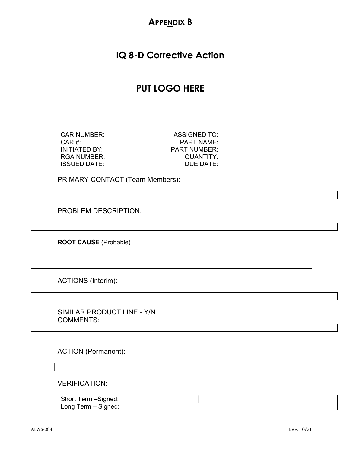# **APPENDIX B**

# IQ 8-D Corrective Action

# PUT LOGO HERE

CAR #:  $CAR$  #:  $PART$  NAME: INITIATED BY: PART NUMBER: RGA NUMBER: QUANTITY: ISSUED DATE: DUE DATE:

CAR NUMBER: ASSIGNED TO:

PRIMARY CONTACT (Team Members):

PROBLEM DESCRIPTION:

ROOT CAUSE (Probable)

ACTIONS (Interim):

SIMILAR PRODUCT LINE - Y/N COMMENTS:

ACTION (Permanent):

VERIFICATION:

| Short<br>Term –Signed: |  |
|------------------------|--|
| Long Term – Signed:    |  |